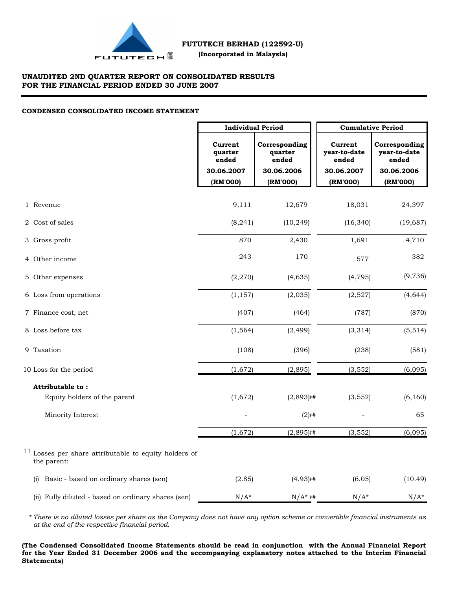

### **UNAUDITED 2ND QUARTER REPORT ON CONSOLIDATED RESULTS FOR THE FINANCIAL PERIOD ENDED 30 JUNE 2007**

### **CONDENSED CONSOLIDATED INCOME STATEMENT**

|                                                                        | <b>Individual Period</b>    |                                   | <b>Cumulative Period</b>         |                                        |  |  |
|------------------------------------------------------------------------|-----------------------------|-----------------------------------|----------------------------------|----------------------------------------|--|--|
|                                                                        | Current<br>quarter<br>ended | Corresponding<br>quarter<br>ended | Current<br>year-to-date<br>ended | Corresponding<br>year-to-date<br>ended |  |  |
|                                                                        | 30.06.2007                  | 30.06.2006                        | 30.06.2007                       | 30.06.2006                             |  |  |
|                                                                        | (RM'000)                    | (RM'000)                          | (RM'000)                         | (RM'000)                               |  |  |
| 1 Revenue                                                              | 9,111                       | 12,679                            | 18,031                           | 24,397                                 |  |  |
| 2 Cost of sales                                                        | (8, 241)                    | (10, 249)                         | (16, 340)                        | (19, 687)                              |  |  |
| 3 Gross profit                                                         | 870                         | 2,430                             | 1,691                            | 4,710                                  |  |  |
| 4 Other income                                                         | 243                         | 170                               | 577                              | 382                                    |  |  |
| 5 Other expenses                                                       | (2, 270)                    | (4,635)                           | (4, 795)                         | (9,736)                                |  |  |
| 6 Loss from operations                                                 | (1, 157)                    | (2,035)                           | (2,527)                          | (4,644)                                |  |  |
| 7 Finance cost, net                                                    | (407)                       | (464)                             | (787)                            | (870)                                  |  |  |
| 8 Loss before tax                                                      | (1, 564)                    | (2, 499)                          | (3, 314)                         | (5,514)                                |  |  |
| 9 Taxation                                                             | (108)                       | (396)                             | (238)                            | (581)                                  |  |  |
| 10 Loss for the period                                                 | (1,672)                     | (2,895)                           | (3, 552)                         | (6,095)                                |  |  |
| Attributable to:                                                       |                             |                                   |                                  |                                        |  |  |
| Equity holders of the parent                                           | (1,672)                     | $(2,893)$ <sup>#</sup>            | (3, 552)                         | (6, 160)                               |  |  |
| Minority Interest                                                      |                             | $(2)$ $#$                         |                                  | 65                                     |  |  |
|                                                                        | (1,672)                     | $(2,895)$ <sup>#</sup>            | (3, 552)                         | (6,095)                                |  |  |
| $11$ Losses per share attributable to equity holders of<br>the parent: |                             |                                   |                                  |                                        |  |  |
| (i) Basic - based on ordinary shares (sen)                             | (2.85)                      | (4.93)                            | (6.05)                           | (10.49)                                |  |  |
| (ii) Fully diluted - based on ordinary shares (sen)                    | $N/A^*$                     | $N/A^*$ #                         | $N/A^*$                          | $N/A^*$                                |  |  |

**\*** *There is no diluted losses per share as the Company does not have any option scheme or convertible financial instruments as at the end of the respective financial period.*

**(The Condensed Consolidated Income Statements should be read in conjunction with the Annual Financial Report for the Year Ended 31 December 2006 and the accompanying explanatory notes attached to the Interim Financial Statements)**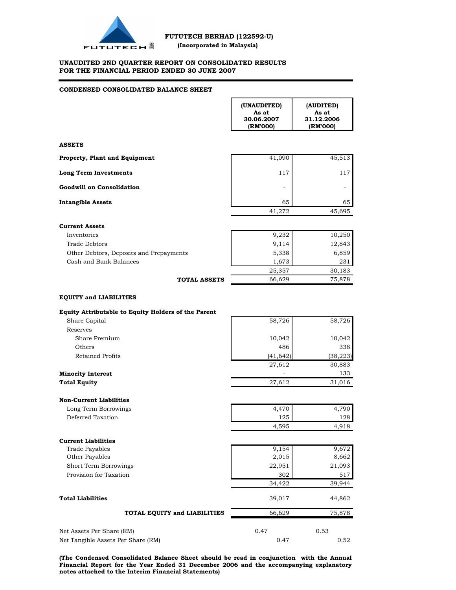

**FUTUTECH (Incorporated in Malaysia)** 

#### **UNAUDITED 2ND QUARTER REPORT ON CONSOLIDATED RESULTS FOR THE FINANCIAL PERIOD ENDED 30 JUNE 2007**

#### **CONDENSED CONSOLIDATED BALANCE SHEET**

| <b>ASSETS</b><br><b>Goodwill on Consolidation</b><br><b>Intangible Assets</b><br><b>Current Assets</b><br>Inventories<br><b>Trade Debtors</b><br>Other Debtors, Deposits and Prepayments<br>Cash and Bank Balances<br><b>TOTAL ASSETS</b> | (RM'000)  | 31.12.2006<br>(RM'000) |
|-------------------------------------------------------------------------------------------------------------------------------------------------------------------------------------------------------------------------------------------|-----------|------------------------|
| Property, Plant and Equipment<br><b>Long Term Investments</b>                                                                                                                                                                             |           |                        |
|                                                                                                                                                                                                                                           | 41,090    | 45,513                 |
|                                                                                                                                                                                                                                           | 117       | 117                    |
|                                                                                                                                                                                                                                           |           |                        |
|                                                                                                                                                                                                                                           | 65        | 65                     |
|                                                                                                                                                                                                                                           | 41,272    | 45,695                 |
|                                                                                                                                                                                                                                           |           |                        |
|                                                                                                                                                                                                                                           | 9,232     | 10,250                 |
|                                                                                                                                                                                                                                           | 9,114     | 12,843                 |
|                                                                                                                                                                                                                                           | 5,338     | 6,859                  |
|                                                                                                                                                                                                                                           | 1,673     | 231                    |
|                                                                                                                                                                                                                                           | 25,357    | 30,183                 |
|                                                                                                                                                                                                                                           | 66,629    | 75,878                 |
| <b>EQUITY and LIABILITIES</b>                                                                                                                                                                                                             |           |                        |
| Equity Attributable to Equity Holders of the Parent<br>Share Capital                                                                                                                                                                      | 58,726    | 58,726                 |
| Reserves                                                                                                                                                                                                                                  |           |                        |
| Share Premium                                                                                                                                                                                                                             | 10,042    | 10,042                 |
| Others                                                                                                                                                                                                                                    | 486       | 338                    |
| Retained Profits                                                                                                                                                                                                                          | (41, 642) | (38, 223)              |
|                                                                                                                                                                                                                                           | 27,612    | 30,883                 |
| <b>Minority Interest</b>                                                                                                                                                                                                                  |           | 133                    |
| <b>Total Equity</b>                                                                                                                                                                                                                       | 27,612    | 31,016                 |
|                                                                                                                                                                                                                                           |           |                        |
| <b>Non-Current Liabilities</b>                                                                                                                                                                                                            |           |                        |
| Long Term Borrowings<br>Deferred Taxation                                                                                                                                                                                                 | 4,470     | 4,790                  |
|                                                                                                                                                                                                                                           | 125       | 128                    |
|                                                                                                                                                                                                                                           | 4,595     | 4,918                  |
| <b>Current Liabilities</b>                                                                                                                                                                                                                |           |                        |
| <b>Trade Payables</b>                                                                                                                                                                                                                     | 9,154     | 9,672                  |
| Other Payables                                                                                                                                                                                                                            | 2,015     | 8,662                  |
| Short Term Borrowings                                                                                                                                                                                                                     | 22,951    | 21,093                 |
| Provision for Taxation                                                                                                                                                                                                                    | 302       | 517                    |
|                                                                                                                                                                                                                                           | 34,422    | 39,944                 |
| <b>Total Liabilities</b>                                                                                                                                                                                                                  | 39,017    | 44,862                 |
| TOTAL EQUITY and LIABILITIES                                                                                                                                                                                                              | 66,629    | 75,878                 |
| Net Assets Per Share (RM)                                                                                                                                                                                                                 | 0.47      | 0.53                   |
| Net Tangible Assets Per Share (RM)                                                                                                                                                                                                        | 0.47      | 0.52                   |

**(The Condensed Consolidated Balance Sheet should be read in conjunction with the Annual Financial Report for the Year Ended 31 December 2006 and the accompanying explanatory notes attached to the Interim Financial Statements)**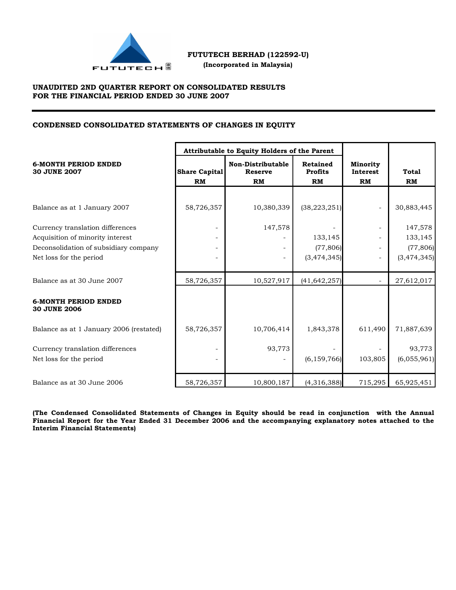

 **(Incorporated in Malaysia)**

# **UNAUDITED 2ND QUARTER REPORT ON CONSOLIDATED RESULTS FOR THE FINANCIAL PERIOD ENDED 30 JUNE 2007**

# **CONDENSED CONSOLIDATED STATEMENTS OF CHANGES IN EQUITY**

|                                                    |                                                                                | Attributable to Equity Holders of the Parent |                                                |                                                 |             |
|----------------------------------------------------|--------------------------------------------------------------------------------|----------------------------------------------|------------------------------------------------|-------------------------------------------------|-------------|
| <b>6-MONTH PERIOD ENDED</b><br><b>30 JUNE 2007</b> | <b>Non-Distributable</b><br>Share Capital<br><b>Reserve</b><br>RM<br><b>RM</b> |                                              | <b>Retained</b><br><b>Profits</b><br><b>RM</b> | <b>Minority</b><br><b>Interest</b><br><b>RM</b> | Total<br>RM |
|                                                    |                                                                                |                                              |                                                |                                                 |             |
| Balance as at 1 January 2007                       | 58,726,357                                                                     | 10,380,339                                   | (38, 223, 251)                                 |                                                 | 30,883,445  |
| Currency translation differences                   |                                                                                | 147,578                                      |                                                |                                                 | 147,578     |
| Acquisition of minority interest                   | $\overline{\phantom{a}}$                                                       |                                              | 133,145                                        |                                                 | 133,145     |
| Deconsolidation of subsidiary company              |                                                                                |                                              | (77,806)                                       |                                                 | (77,806)    |
| Net loss for the period                            |                                                                                |                                              | (3,474,345)                                    |                                                 | (3,474,345) |
| Balance as at 30 June 2007                         | 58,726,357                                                                     | 10,527,917                                   | (41, 642, 257)                                 | $\overline{a}$                                  | 27,612,017  |
| <b>6-MONTH PERIOD ENDED</b><br><b>30 JUNE 2006</b> |                                                                                |                                              |                                                |                                                 |             |
| Balance as at 1 January 2006 (restated)            | 58,726,357                                                                     | 10,706,414                                   | 1,843,378                                      | 611,490                                         | 71,887,639  |
| Currency translation differences                   |                                                                                | 93,773                                       |                                                |                                                 | 93,773      |
| Net loss for the period                            |                                                                                |                                              | (6, 159, 766)                                  | 103,805                                         | (6,055,961) |
| Balance as at 30 June 2006                         | 58,726,357                                                                     | 10,800,187                                   | (4,316,388)                                    | 715,295                                         | 65,925,451  |

**(The Condensed Consolidated Statements of Changes in Equity should be read in conjunction with the Annual Financial Report for the Year Ended 31 December 2006 and the accompanying explanatory notes attached to the Interim Financial Statements)**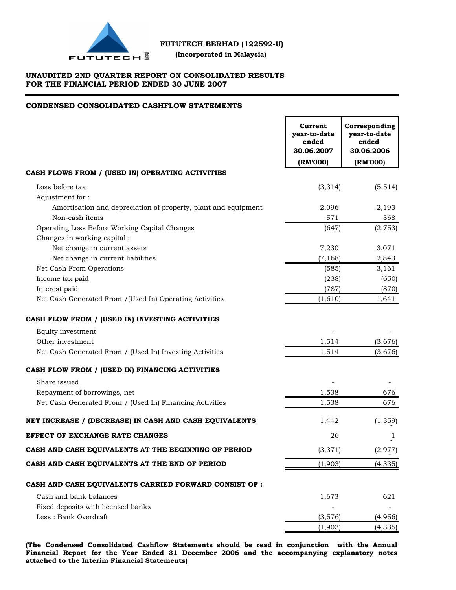

 **(Incorporated in Malaysia)**

# **UNAUDITED 2ND QUARTER REPORT ON CONSOLIDATED RESULTS FOR THE FINANCIAL PERIOD ENDED 30 JUNE 2007**

## **CONDENSED CONSOLIDATED CASHFLOW STATEMENTS**

|                                                                | Current<br>year-to-date<br>ended<br>30.06.2007 | Corresponding<br>year-to-date<br>ended<br>30.06.2006 |
|----------------------------------------------------------------|------------------------------------------------|------------------------------------------------------|
|                                                                | (RM'000)                                       | (RM'000)                                             |
| CASH FLOWS FROM / (USED IN) OPERATING ACTIVITIES               |                                                |                                                      |
| Loss before tax                                                | (3,314)                                        | (5, 514)                                             |
| Adjustment for:                                                |                                                |                                                      |
| Amortisation and depreciation of property, plant and equipment | 2,096                                          | 2,193                                                |
| Non-cash items                                                 | 571                                            | 568                                                  |
| Operating Loss Before Working Capital Changes                  | (647)                                          | (2, 753)                                             |
| Changes in working capital:                                    |                                                |                                                      |
| Net change in current assets                                   | 7,230                                          | 3,071                                                |
| Net change in current liabilities                              | (7, 168)                                       | 2,843                                                |
| Net Cash From Operations                                       | (585)                                          | 3,161                                                |
| Income tax paid                                                | (238)                                          | (650)                                                |
| Interest paid                                                  | (787)                                          | (870)                                                |
| Net Cash Generated From /(Used In) Operating Activities        | (1,610)                                        | 1,641                                                |
| CASH FLOW FROM / (USED IN) INVESTING ACTIVITIES                |                                                |                                                      |
| Equity investment                                              |                                                |                                                      |
| Other investment                                               | 1,514                                          | (3,676)                                              |
| Net Cash Generated From / (Used In) Investing Activities       | 1,514                                          | (3,676)                                              |
| CASH FLOW FROM / (USED IN) FINANCING ACTIVITIES                |                                                |                                                      |
| Share issued                                                   |                                                |                                                      |
| Repayment of borrowings, net                                   | 1,538                                          | 676                                                  |
| Net Cash Generated From / (Used In) Financing Activities       | 1,538                                          | 676                                                  |
| NET INCREASE / (DECREASE) IN CASH AND CASH EQUIVALENTS         | 1,442                                          | (1, 359)                                             |
| EFFECT OF EXCHANGE RATE CHANGES                                | 26                                             | 1                                                    |
| CASH AND CASH EQUIVALENTS AT THE BEGINNING OF PERIOD           | (3, 371)                                       | (2, 977)                                             |
| CASH AND CASH EQUIVALENTS AT THE END OF PERIOD                 | (1,903)                                        | (4, 335)                                             |
| CASH AND CASH EQUIVALENTS CARRIED FORWARD CONSIST OF :         |                                                |                                                      |
| Cash and bank balances                                         | 1,673                                          | 621                                                  |
| Fixed deposits with licensed banks                             |                                                |                                                      |
| Less: Bank Overdraft                                           | (3,576)                                        | (4,956)                                              |
|                                                                | (1,903)                                        | (4, 335)                                             |
|                                                                |                                                |                                                      |

**(The Condensed Consolidated Cashflow Statements should be read in conjunction with the Annual Financial Report for the Year Ended 31 December 2006 and the accompanying explanatory notes attached to the Interim Financial Statements)**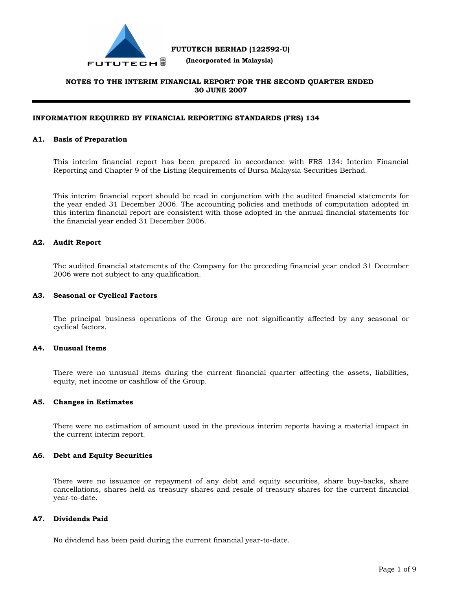

 **(Incorporated in Malaysia)**

# **NOTES TO THE INTERIM FINANCIAL REPORT FOR THE SECOND QUARTER ENDED 30 JUNE 2007**

## **INFORMATION REQUIRED BY FINANCIAL REPORTING STANDARDS (FRS) 134**

#### **A1. Basis of Preparation**

This interim financial report has been prepared in accordance with FRS 134: Interim Financial Reporting and Chapter 9 of the Listing Requirements of Bursa Malaysia Securities Berhad.

This interim financial report should be read in conjunction with the audited financial statements for the year ended 31 December 2006. The accounting policies and methods of computation adopted in this interim financial report are consistent with those adopted in the annual financial statements for the financial year ended 31 December 2006.

### **A2. Audit Report**

The audited financial statements of the Company for the preceding financial year ended 31 December 2006 were not subject to any qualification.

#### **A3. Seasonal or Cyclical Factors**

The principal business operations of the Group are not significantly affected by any seasonal or cyclical factors.

# **A4. Unusual Items**

There were no unusual items during the current financial quarter affecting the assets, liabilities, equity, net income or cashflow of the Group.

#### **A5. Changes in Estimates**

There were no estimation of amount used in the previous interim reports having a material impact in the current interim report.

#### **A6. Debt and Equity Securities**

There were no issuance or repayment of any debt and equity securities, share buy-backs, share cancellations, shares held as treasury shares and resale of treasury shares for the current financial year-to-date.

### **A7. Dividends Paid**

No dividend has been paid during the current financial year-to-date.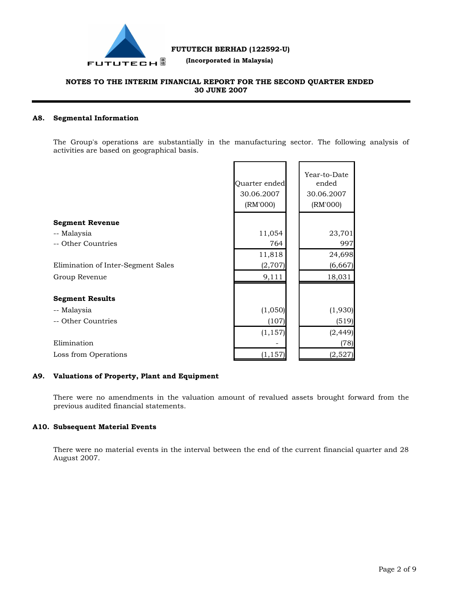

 **(Incorporated in Malaysia)**

# **NOTES TO THE INTERIM FINANCIAL REPORT FOR THE SECOND QUARTER ENDED 30 JUNE 2007**

# **A8. Segmental Information**

The Group's operations are substantially in the manufacturing sector. The following analysis of activities are based on geographical basis.

|                                    | Quarter ended<br>30.06.2007<br>(RM'000) | Year-to-Date<br>ended<br>30.06.2007<br>(RM'000) |
|------------------------------------|-----------------------------------------|-------------------------------------------------|
| <b>Segment Revenue</b>             |                                         |                                                 |
| -- Malaysia                        | 11,054                                  | 23,701                                          |
| -- Other Countries                 | 764                                     | 997                                             |
|                                    | 11,818                                  | 24,698                                          |
| Elimination of Inter-Segment Sales | (2,707)                                 | (6,667)                                         |
| Group Revenue                      | 9,111                                   | 18,031                                          |
|                                    |                                         |                                                 |
| <b>Segment Results</b>             |                                         |                                                 |
| -- Malaysia                        | (1,050)                                 | (1,930)                                         |
| -- Other Countries                 | (107)                                   | (519)                                           |
|                                    | (1, 157)                                | (2, 449)                                        |
| Elimination                        |                                         | (78)                                            |
| Loss from Operations               | (1, 157)                                | (2,527)                                         |

### **A9. Valuations of Property, Plant and Equipment**

There were no amendments in the valuation amount of revalued assets brought forward from the previous audited financial statements.

## **A10. Subsequent Material Events**

There were no material events in the interval between the end of the current financial quarter and 28 August 2007.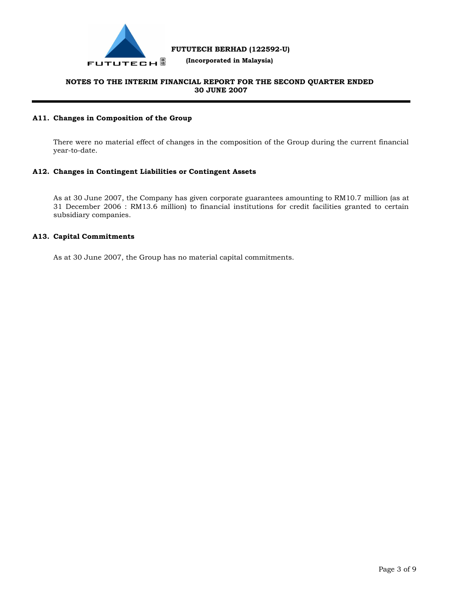

 **(Incorporated in Malaysia)**

# **NOTES TO THE INTERIM FINANCIAL REPORT FOR THE SECOND QUARTER ENDED 30 JUNE 2007**

# **A11. Changes in Composition of the Group**

There were no material effect of changes in the composition of the Group during the current financial year-to-date.

# **A12. Changes in Contingent Liabilities or Contingent Assets**

As at 30 June 2007, the Company has given corporate guarantees amounting to RM10.7 million (as at 31 December 2006 : RM13.6 million) to financial institutions for credit facilities granted to certain subsidiary companies.

### **A13. Capital Commitments**

As at 30 June 2007, the Group has no material capital commitments.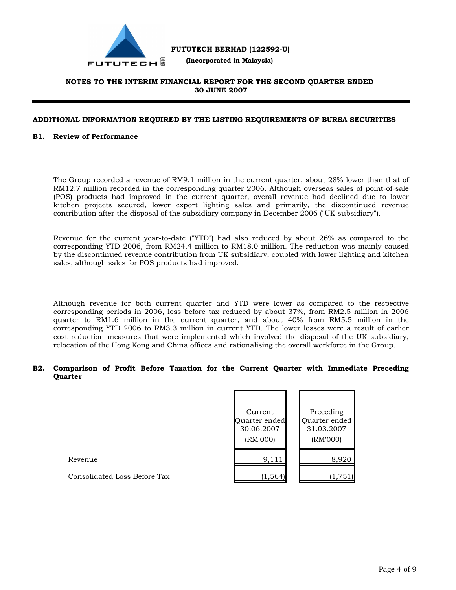

 **(Incorporated in Malaysia)**

# **NOTES TO THE INTERIM FINANCIAL REPORT FOR THE SECOND QUARTER ENDED 30 JUNE 2007**

## **ADDITIONAL INFORMATION REQUIRED BY THE LISTING REQUIREMENTS OF BURSA SECURITIES**

### **B1. Review of Performance**

The Group recorded a revenue of RM9.1 million in the current quarter, about 28% lower than that of RM12.7 million recorded in the corresponding quarter 2006. Although overseas sales of point-of-sale (POS) products had improved in the current quarter, overall revenue had declined due to lower kitchen projects secured, lower export lighting sales and primarily, the discontinued revenue contribution after the disposal of the subsidiary company in December 2006 ("UK subsidiary").

Revenue for the current year-to-date ("YTD") had also reduced by about 26% as compared to the corresponding YTD 2006, from RM24.4 million to RM18.0 million. The reduction was mainly caused by the discontinued revenue contribution from UK subsidiary, coupled with lower lighting and kitchen sales, although sales for POS products had improved.

Although revenue for both current quarter and YTD were lower as compared to the respective corresponding periods in 2006, loss before tax reduced by about 37%, from RM2.5 million in 2006 quarter to RM1.6 million in the current quarter, and about 40% from RM5.5 million in the corresponding YTD 2006 to RM3.3 million in current YTD. The lower losses were a result of earlier cost reduction measures that were implemented which involved the disposal of the UK subsidiary, relocation of the Hong Kong and China offices and rationalising the overall workforce in the Group.

## **B2. Comparison of Profit Before Taxation for the Current Quarter with Immediate Preceding Quarter**

|                              | Current<br>Quarter ended<br>30.06.2007<br>(RM'000) | Preceding<br>Quarter ended<br>31.03.2007<br>(RM'000) |
|------------------------------|----------------------------------------------------|------------------------------------------------------|
| Revenue                      | 9,111                                              | 8,920                                                |
| Consolidated Loss Before Tax | (1, 564)                                           | (1,751)                                              |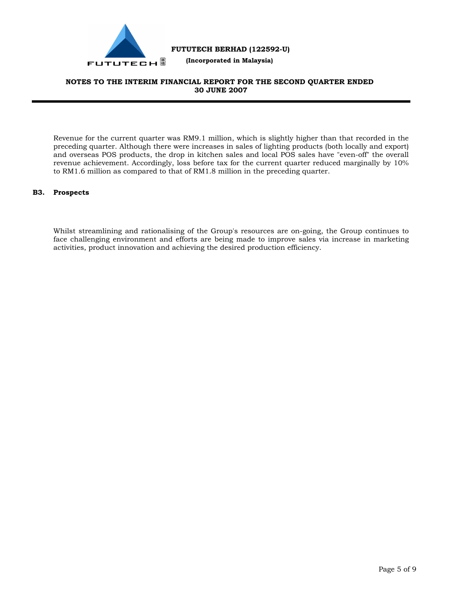

 **(Incorporated in Malaysia)**

# **NOTES TO THE INTERIM FINANCIAL REPORT FOR THE SECOND QUARTER ENDED 30 JUNE 2007**

Revenue for the current quarter was RM9.1 million, which is slightly higher than that recorded in the preceding quarter. Although there were increases in sales of lighting products (both locally and export) and overseas POS products, the drop in kitchen sales and local POS sales have "even-off" the overall revenue achievement. Accordingly, loss before tax for the current quarter reduced marginally by 10% to RM1.6 million as compared to that of RM1.8 million in the preceding quarter.

## **B3. Prospects**

Whilst streamlining and rationalising of the Group's resources are on-going, the Group continues to face challenging environment and efforts are being made to improve sales via increase in marketing activities, product innovation and achieving the desired production efficiency.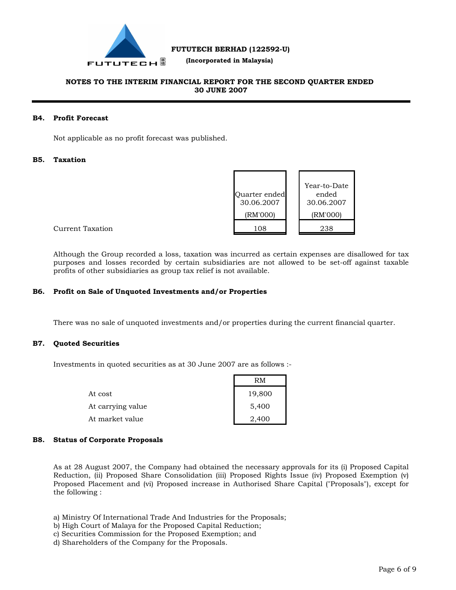

 **(Incorporated in Malaysia)**

# **NOTES TO THE INTERIM FINANCIAL REPORT FOR THE SECOND QUARTER ENDED 30 JUNE 2007**

## **B4. Profit Forecast**

Not applicable as no profit forecast was published.

# **B5. Taxation**

| Quarter ended<br>30.06.2007<br>(RM'000) | Year-to-Date<br>ended<br>30.06.2007<br>(RM'000) |
|-----------------------------------------|-------------------------------------------------|
| 108                                     | 238                                             |

Current Taxation

Although the Group recorded a loss, taxation was incurred as certain expenses are disallowed for tax purposes and losses recorded by certain subsidiaries are not allowed to be set-off against taxable profits of other subsidiaries as group tax relief is not available.

### **B6. Profit on Sale of Unquoted Investments and/or Properties**

There was no sale of unquoted investments and/or properties during the current financial quarter.

# **B7. Quoted Securities**

Investments in quoted securities as at 30 June 2007 are as follows :-

|                   | RM     |  |
|-------------------|--------|--|
| At cost           | 19,800 |  |
| At carrying value | 5,400  |  |
| At market value   | 2,400  |  |

### **B8. Status of Corporate Proposals**

As at 28 August 2007, the Company had obtained the necessary approvals for its (i) Proposed Capital Reduction, (ii) Proposed Share Consolidation (iii) Proposed Rights Issue (iv) Proposed Exemption (v) Proposed Placement and (vi) Proposed increase in Authorised Share Capital ("Proposals"), except for the following :

- a) Ministry Of International Trade And Industries for the Proposals;
- b) High Court of Malaya for the Proposed Capital Reduction;
- c) Securities Commission for the Proposed Exemption; and
- d) Shareholders of the Company for the Proposals.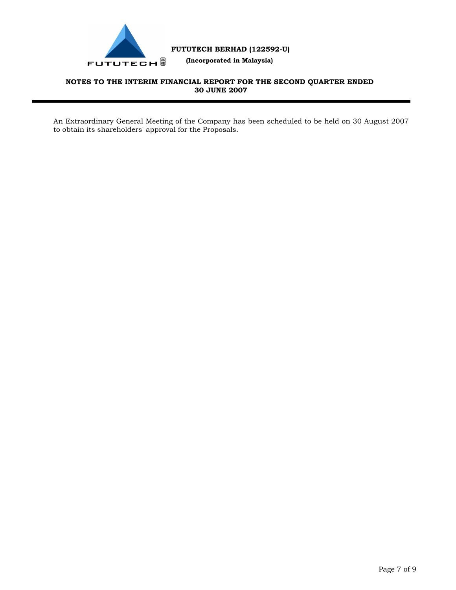

 **(Incorporated in Malaysia)**

# **NOTES TO THE INTERIM FINANCIAL REPORT FOR THE SECOND QUARTER ENDED 30 JUNE 2007**

An Extraordinary General Meeting of the Company has been scheduled to be held on 30 August 2007 to obtain its shareholders' approval for the Proposals.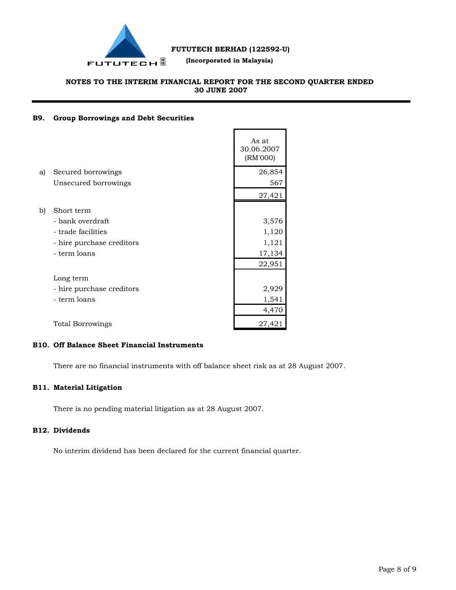

 **(Incorporated in Malaysia)**

# **NOTES TO THE INTERIM FINANCIAL REPORT FOR THE SECOND QUARTER ENDED 30 JUNE 2007**

# **B9. Group Borrowings and Debt Securities**

|    |                           | As at<br>30.06.2007<br>(RM'000) |
|----|---------------------------|---------------------------------|
| a) | Secured borrowings        | 26,854                          |
|    | Unsecured borrowings      | 567                             |
|    |                           | 27,421                          |
| b) | Short term                |                                 |
|    | - bank overdraft          | 3,576                           |
|    | - trade facilities        | 1,120                           |
|    | - hire purchase creditors | 1,121                           |
|    | - term loans              | 17,134                          |
|    |                           | 22,951                          |
|    | Long term                 |                                 |
|    | - hire purchase creditors | 2,929                           |
|    | - term loans              | 1,541                           |
|    |                           | 4,470                           |
|    | <b>Total Borrowings</b>   | 27,421                          |

# **B10. Off Balance Sheet Financial Instruments**

There are no financial instruments with off balance sheet risk as at 28 August 2007.

# **B11. Material Litigation**

There is no pending material litigation as at 28 August 2007.

# **B12. Dividends**

No interim dividend has been declared for the current financial quarter.